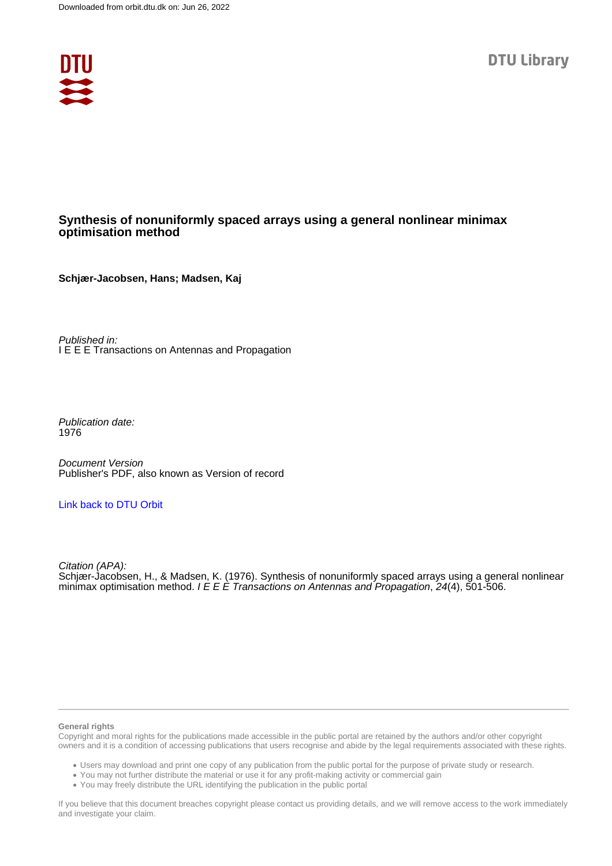

# **Synthesis of nonuniformly spaced arrays using a general nonlinear minimax optimisation method**

**Schjær-Jacobsen, Hans; Madsen, Kaj**

Published in: I E E E Transactions on Antennas and Propagation

Publication date: 1976

Document Version Publisher's PDF, also known as Version of record

# [Link back to DTU Orbit](https://orbit.dtu.dk/en/publications/c74d5f16-3604-43bb-b098-81e5d0274b1c)

Citation (APA): Schjær-Jacobsen, H., & Madsen, K. (1976). Synthesis of nonuniformly spaced arrays using a general nonlinear minimax optimisation method. I E E E Transactions on Antennas and Propagation,  $24(4)$ , 501-506.

#### **General rights**

Copyright and moral rights for the publications made accessible in the public portal are retained by the authors and/or other copyright owners and it is a condition of accessing publications that users recognise and abide by the legal requirements associated with these rights.

Users may download and print one copy of any publication from the public portal for the purpose of private study or research.

- You may not further distribute the material or use it for any profit-making activity or commercial gain
- You may freely distribute the URL identifying the publication in the public portal

If you believe that this document breaches copyright please contact us providing details, and we will remove access to the work immediately and investigate your claim.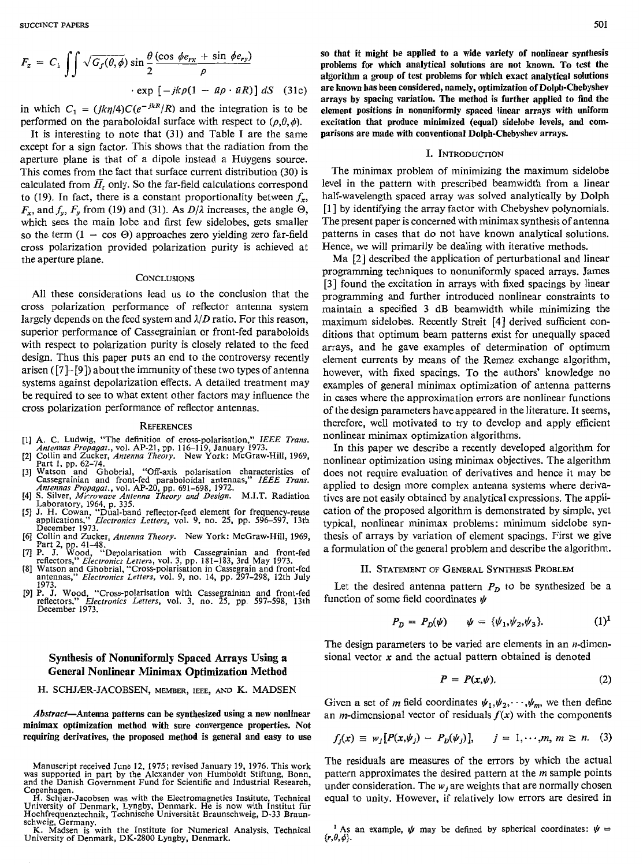$$
F_z = C_1 \int \int \sqrt{G_f(\theta, \phi)} \sin \frac{\theta}{2} \frac{(\cos \phi e_{rx} + \sin \phi e_{ry})}{\rho}
$$
  
 
$$
\cdot \exp \left[ -jk \rho (1 - \bar{u} \rho \cdot \bar{u} R) \right] dS \quad (31c)
$$

in which  $C_1 = (jk\eta/4)C(e^{-jkR}/R)$  and the integration is to be performed on the paraboloidal surface with respect to  $(\rho, \theta, \phi)$ .

It is interesting to note that (31) and Table I are the same except for a sign factor. This shows that the radiation from the aperture plane is that of a dipole instead a Huygens source. This comes from the fact that surface current distribution (30) is calculated from  $\overline{H}_t$  only. So the far-field calculations correspond to (19). In fact, there is a constant proportionality between  $f_x$ ,  $F_x$ , and  $f_y$ ,  $F_y$  from (19) and (31). As  $D/\lambda$  increases, the angle  $\Theta$ , which sees the main lobe and first few sidelobes, gets smaller so the term  $(1 - \cos \Theta)$  approaches zero yielding zero far-field cross polarization provided polarization purity is achieved at the aperture plane.

#### **CONCLUSIONS**

**All** these considerations lead us to the conclusion that the cross polarization performance of reflector antenna system largely depends on the feed system and *I/D* ratio. For this reason, superior performance of Cassegrainian or front-fed paraboloids with respect to polarization purity is closely related to the feed design. Thus this paper puts an end to the controversy recently arisen *([7]-[9])* about the immunity of these two types of antenna systems against depolarization effects. **A** detailed treatment may be required to see to what extent other factors may influence the cross polarization performance of reflector antennas.

#### **REFERENCES**

- **[l] A. C. Ludwig,** "The **definition of cross-polarisation,"** *IEEE Trans.*
- *Antennas Propagat.,* **vol. AP-21, pp. 116-119, January 1973. [2] Collin and Zucker,** *Antenna Theory.* **New York: McGraw-Hill, 1969,**
- **Part** 1, **pp. 62-74. 131 Watson and Ghobrial, "Off-axis polarisation characteristics of**
- Cassegrainian and front-fed paraboloidal antennas," IEEE Trans<br>Antennas Propagat., vol. AP-20, pp. 691–698, 1972.<br>[4] S. Silver, Microwave Antenna Theory and Design. M.I.T. Radiation<br>Laboratory, 1964, p. 335.<br>[5] J. H. Cow
- **applications,"** *Electronics Letters*, vol. 9, no. 25, pp. 596–597, 13th December 1973. [q **Collin and Zucker,** *Antenna Theory.* **New York: McGraw-Hill, 1969,**
- 
- Part 2, pp. 41–48.<br>
7] P. J. Wood, "Depolarisation with Cassegrainian and front-fed<br>
7] P. J. Wood, "Depolarisation with Cassegrainian and front-fed<br>
8] Watson and Ghobrial, "Cross-polarisation in Cassegrain and front-fed<br>
- 1973.<br>[9] P. J. Wood, "Cross-polarisation with Cassegrainian and
- reflectors," *Electronics Letters, v*ol. 3, no. 25, pp. 597–598,<br>December 1973.

## **Synthesis of Nonunifonnly Spaced Arrays Using a General Nonlinear Minimax Optimization Method**

### **H. SCHJER-JACOBSEN, MEMBER, IEEE, AKm K. MADSEN**

*Abstract-Antenna* **patterns can be synthesized using a new nonlinear minimax optimization method with snre convergence properties. Not requiring derivatives, the proposed method is general and easy to use**  **so that it might be applied to a wide variety of nonlinear synthesis problems for which analytical solutions are not known. To test the algorithm a group of** test **problems for which exact analytical solutions are known has been considered, namely, optimization of Dolph-Cbebyshev arrays by spacing variation. The method is further applied to find the element positions in nonnniformly spaced linear arrays with uniform excitation that produce minimized (equal) sidelobe levels, and comparisons are made with conventional Dolph-Chebysbev arrays.** 

#### I. INTRODUCITON

The minimax problem of minimizing the maximum sidelobe level in the pattern with prescribed beamwidth from a linear half-wavelength spaced array was solved analytically by Dolph [1] by identifying the array factor with Chebyshev polynomials. The present paper is concerned with minimax synthesis of antenna patterns in cases that do not have known analytical solutions. Hence, we will primarily be dealing with iterative methods.

Ma [2] described the application of perturbational and linear programming techniques to nonunifonnly spaced arrays. James [3] found the excitation in arrays with fixed spacings by linear programming and further introduced nonlinear constraints to maintain a specified **3** dB beamwidth while minimizing the maximum sidelobes. Recently Streit **[4]** derived sufficient conditions that optimum beam patterns exist for unequally spaced arrays, and he gave examples of determination of optimum element currents by means of the Remez exchange algorithm, however, with fixed spacings. To the authors' knowledge no examples of general minimax optimization of antenna patterns in cases where the approximation errors are nonlinear functions of the design parameters have appeared in the literature. It seems, therefore, well motivated to try to develop and apply efficient nonlinear minimax optimization algorithms.

In this paper we describe a recently developed algorithm for nonlinear optimization using minimax objectives. The algorithm does not require evaluation of derivatives and hence it may be applied to design more complex antenna systems where derivatives are not easily obtained by analytical expressions. The application of the proposed algorithm is demonstrated by simple, yet typical, nonlinear minimax problems: minimum sidelobe synthesis of arrays by variation of element spacings. First we give a formulation of the general problem and describe the algorithm.

### **11. STATEMENT OF GENERAL SYNTHESIS PROBLEM**

Let the desired antenna pattern  $P_D$  to be synthesized be a function of some field coordinates  $\psi$ 

$$
P_D = P_D(\psi) \qquad \psi = {\psi_1, \psi_2, \psi_3}. \tag{1}^1
$$

The design parameters to be varied are elements in an  $n$ -dimensional vector **x** and the actual pattern obtained is denoted

$$
P = P(x, \psi). \tag{2}
$$

Given a set of *m* field coordinates  $\psi_1, \psi_2, \dots, \psi_m$ , we then define an *m*-dimensional vector of residuals  $f(x)$  with the components

$$
f_j(x) \equiv w_j [P(x, \psi_j) - P_D(\psi_j)], \quad j = 1, \dots, m, m \ge n. \quad (3)
$$

The residuals are measures of the errors by which the actual pattern approximates the desired pattern at the  $m$  sample points under consideration. The  $w_i$  are weights that are normally chosen equal to unity. However, **if** relatively low errors are desired in

 $\{r, \theta, \phi\}.$ <sup>1</sup> As an example,  $\psi$  may be defined by spherical coordinates:  $\psi$  =

Manuscript received June 12, 1975; revised January 19, 1976. This work<br>was supported in part by the Alexander von Humboldt Stiftung, Bonn,<br>and the Danish Government Fund for Scientific and Industrial Research, **Copenhagen.** 

H. Schjær-Jacobsen was with the Electromagnetics Institute, Technic<br>University of Denmark, Lyngby, Denmark. He is now with Institut fi **Hochfrequenztechnik, Technische Universitat Braunschweig, D-33 Braunschweig, Germany.** 

K. Madsen is with the Institute for Numerical Ana<br>University of Denmark, DK-2800 Lyngby, Denmark.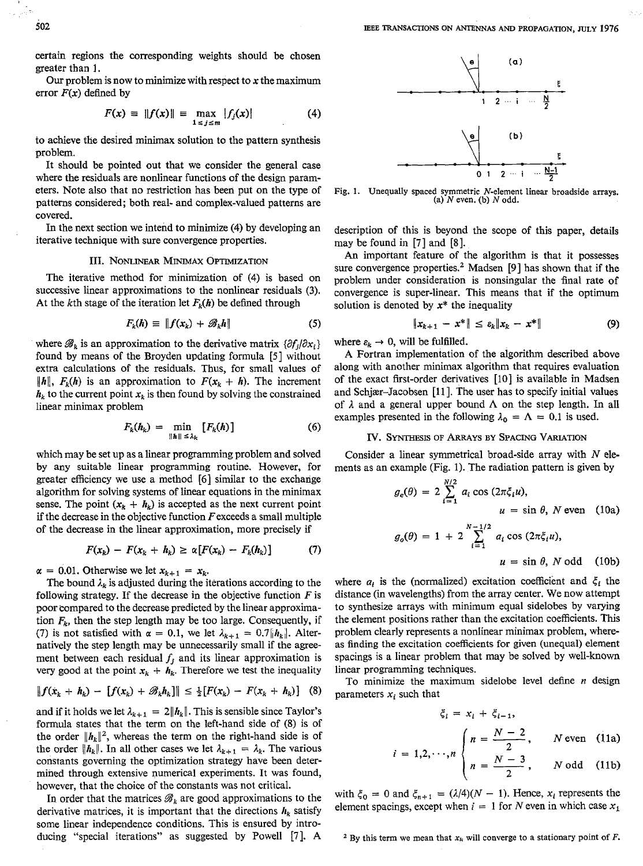certain regions the corresponding weights should be chosen greater than **1.** 

Our problem is now to minimize with respect to **x** the maximum error  $F(x)$  defined by

$$
F(x) = \|f(x)\| = \max_{1 \le j \le m} |f_j(x)| \tag{4}
$$

to achieve the desired minimax solution to the pattern synthesis problem.

It should be pointed out that we consider the general case where the residuals are nonlinear functions of the design parameters. Note also that no restriction has been put on the type of patterns considered; both real- and complex-valued patterns are covered.

In the next section we intend to minimize **(4)** by developing an iterative technique with sure convergence properties.

### **111. NONLINEAR MINIMAX OPTIMIZATION**

The iterative method for minimization of (4) is based on successive linear approximations to the nonlinear residuals **(3).**  At the kth stage of the iteration let  $F_k(h)$  be defined through

$$
F_k(h) \equiv \|f(x_k) + \mathscr{B}_k h\| \tag{5}
$$

where  $\mathscr{B}_k$  is an approximation to the derivative matrix  $\{\partial f_i/\partial x_i\}$ found by means of the Broyden updating formula *[5]* without extra calculations of the residuals. Thus, for small values of  $\|h\|$ ,  $F_k(h)$  is an approximation to  $F(x_k + h)$ . The increment  $h_k$  to the current point  $x_k$  is then found by solving the constrained linear minimax problem

$$
F_k(h_k) = \min_{\|h\| \leq \lambda_k} [F_k(h)] \tag{6}
$$

which may be set up as a linear programming problem and solved by **any** suitable linear programming routine. However, for greater efficiency we use a method [6] similar to the exchange algorithm for solving systems of linear equations in the minimax sense. The point  $(x_k + h_k)$  is accepted as the next current point if the decrease in the objective function  $F$  exceeds a small multiple of the decrease in the linear approximation, more precisely if

$$
F(x_k) - F(x_k + h_k) \ge \alpha \left[ F(x_k) - F_k(h_k) \right] \tag{7}
$$

 $\alpha = 0.01$ . Otherwise we let  $x_{k+1} = x_k$ .

The bound  $\lambda_k$  is adjusted during the iterations according to the following strategy. If the decrease in the objective function  $F$  is poor compared to the decrease predicted by the linear approximation  $F_k$ , then the step length may be too large. Consequently, if (7) is not satisfied with  $\alpha = 0.1$ , we let  $\lambda_{k+1} = 0.7|h_k|$ . Alternatively the step length may be unnecessarily small if the agreement between each residual  $f_i$  and its linear approximation is very good at the point  $x_k + h_k$ . Therefore we test the inequality

$$
|| f(x_k + h_k) - [f(x_k) + \mathscr{B}_k h_k] || \leq \frac{1}{2} [F(x_k) - F(x_k + h_k)] \quad (8)
$$

and if it holds we let  $\lambda_{k+1} = 2||h_k||$ . This is sensible since Taylor's formula states that the term on the left-hand side of (8) **is** of the order  $||h_k||^2$ , whereas the term on the right-hand side is of the order  $\|\boldsymbol{h}_k\|$ . In all other cases we let  $\lambda_{k+1} = \lambda_k$ . The various constants governing the optimization strategy have been determined through extensive numerical experiments. It was found, however, that the choice of the constants was not critical.

In order that the matrices  $\mathcal{B}_k$  are good approximations to the derivative matrices, it is important that the directions  $h_k$  satisfy some linear independence conditions. This is ensured by introducing "special iterations" as suggested by Powell [7]. A  $\phantom{a}$  **2** By this term we mean that  $x_k$  will converge to a stationary point of *F*.



**Fig. I. Unequally spaced symmetric N-element** linear **broadside arrays. (a)** *N* **even. (b)** *N* **odd.** 

description of this is beyond the scope of this paper, details may be found in *[7]* and *[SI.* 

*An* important feature of the algorithm is that it possesses sure convergence properties.<sup>2</sup> Madsen [9] has shown that if the problem under consideration is nonsingular the final rate of convergence is super-linear. This means that if the optimum solution is denoted by  $x^*$  the inequality

$$
\|x_{k+1} - x^*\| \leq \varepsilon_k \|x_k - x^*\|
$$
 (9)

where  $\varepsilon_k \to 0$ , will be fulfilled.

A Fortran implementation of the algorithm described above along with another minimax algorithm that requires evaluation of the exact first-order derivatives [lo] is available in Madsen and Schjær-Jacobsen [11]. The user has to specify initial values of  $\lambda$  and a general upper bound  $\Lambda$  on the step length. In all examples presented in the following  $\lambda_0 = \Lambda = 0.1$  is used.

### **Iv.** SYNTHESIS **OF** *ARRAYS* **BY SPACING VARIATION**

Consider a linear symmetrical broad-side array with *N* elements as an example (Fig. 1). The radiation pattern is given by

$$
g_e(\theta) = 2 \sum_{i=1}^{N/2} a_i \cos(2\pi \xi_i u),
$$
  
 
$$
u = \sin \theta, \ N \text{ even} \quad (10a)
$$

$$
g_o(\theta) = 1 + 2 \sum_{i=1}^{N-1/2} a_i \cos(2\pi \xi_i u),
$$

 $u = \sin \theta$ , *N* odd (10b)

where  $a_i$  is the (normalized) excitation coefficient and  $\xi_i$  the distance (in wavelengths) from the array center. We now attempt to synthesize arrays with minimum equal sidelobes by varying the element positions rather than the excitation coefficients. **This**  problem clearly represents a nonlinear minimax problem, whereas finding the excitation coefficients for given (unequal) element spacings is a linear problem that may be solved by well-known linear programming techniques.

To minimize the maximum sidelobe level define *n* design parameters  $x_i$  such that

$$
\xi_i = x_i + \xi_{i-1},
$$
\n
$$
\begin{cases}\nn = \frac{N-2}{N} & \text{N even} \quad (11a)\n\end{cases}
$$

$$
i = 1, 2, \dots, n
$$
  $\begin{cases} n = 2 \\ n = \frac{N-3}{2}, \quad N \text{ odd} \end{cases}$  (11b)

with  $\xi_0 = 0$  and  $\xi_{n+1} = (\lambda/4)(N - 1)$ . Hence,  $x_i$  represents the element spacings, except when  $i = 1$  for *N* even in which case  $x_1$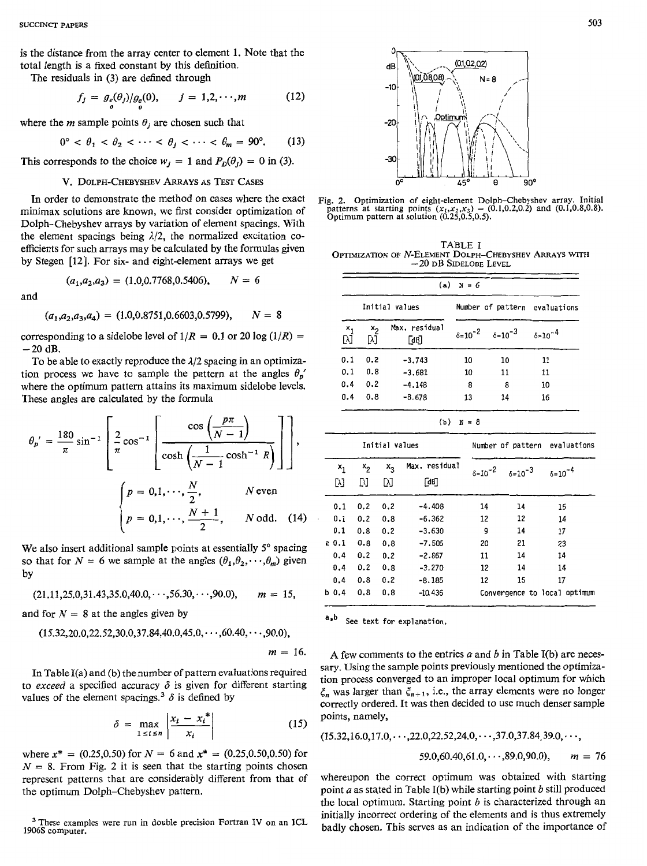is the distance from the array center to element **1.** Note that the total length is a fixed constant by this definition.

The residuals in (3) are defined through

$$
f_j = g_e(\theta_j)/g_e(0), \qquad j = 1, 2, \cdots, m \tag{12}
$$

where the *m* sample points  $\theta_i$  are chosen such that

$$
0^{\circ} < \theta_1 < \theta_2 < \cdots < \theta_j < \cdots < \theta_m = 90^{\circ}.
$$
 (13)

This corresponds to the choice  $w_j = 1$  and  $P_D(\theta_j) = 0$  in (3).

### **V. DOLPH-CHEBYSHEV ARRAYS** *AS* **TEST** CASES

In order to demonstrate the method on cases where the exact minimax solutions are known, we first consider optimization of Dolph-Chebyshev arrays by variation of element spacings. With the element spacings being  $\lambda/2$ , the normalized excitation coefficients for such arrays may be calculated by the formulas given by Stegen [12]. For six- and eight-element arrays we get

$$
(a_1, a_2, a_3) = (1.0, 0.7768, 0.5406), \qquad N = 6
$$

and

$$
(a_1, a_2, a_3, a_4) = (1.0, 0.8751, 0.6603, 0.5799), \qquad N = 8
$$

corresponding to a sidelobe level of  $1/R = 0.1$  or 20 log  $(1/R) =$  $-20$  dB.

To be able to exactly reproduce the **112** spacing in an optimization process we have to sample the pattern at the angles  $\theta_p$ where the optimum pattern attains its maximum sidelobe levels. These angles are calculated by the formula

$$
\theta_p' = \frac{180}{\pi} \sin^{-1} \left[ \frac{2}{\pi} \cos^{-1} \left[ \frac{\cos \left( \frac{p\pi}{N-1} \right)}{\cosh \left( \frac{1}{N-1} \cosh^{-1} R \right)} \right] \right], \qquad \frac{\text{Initial values}}{\frac{x_1 - x_2 - x_3 - \text{Max. residual}}{\frac{x_2 - x_3 - \text{Max. residual}}{\frac{x_3 - \text{Max. total}}{\frac{x_1 - \text{total}}{\frac{x_2 - \text{Max. total}}{\frac{x_1 - \text{total}}{\frac{x_2 - \text{Max. total}}{\frac{x_3 - \text{Max. total}}{\frac{x_3 - \text{Max. total}}{\frac{x_3 - \text{Max. total}}{\frac{x_3 - \text{Max. total}}{\frac{x_3 - \text{Max. total}}{\frac{x_3 - \text{Max. total}}{\frac{x_3 - \text{Max. total}}{\frac{x_3 - \text{Max. total}}{\frac{x_3 - \text{Max. total}}{\frac{x_3 - \text{Max. total}}{\frac{x_3 - \text{Max. total}}{\frac{x_3 - \text{Max. total}}{\frac{x_3 - \text{Max. total}}{\frac{x_3 - \text{Max. total}}{\frac{x_3 - \text{Max. total}}{\frac{x_3 - \text{Max. total}}{\frac{x_3 - \text{Max. total}}{\frac{x_3 - \text{Max. total}}{\frac{x_3 - \text{Max. total}}{\frac{x_3 - \text{Max. total}}{\frac{x_3 - \text{Max. total}}{\frac{x_3 - \text{Max. total}}{\frac{x_3 - \text{Max. total}}{\frac{x_3 - \text{Max. total}}{\frac{x_3 - \text{Max. total}}{\frac{x_3 - \text{Max. total}}{\frac{x_3 - \text{Max. total}}{\frac{x_3 - \text{Max. total}}{\frac{x_3 - \text{Max. total}}{\frac{x_3 - \text{Max. total}}{\frac{x_3 - \text{Max. total}}{\frac{x_3 - \text{Max. total}}{\frac{x_3 - \text{Max. total}}{\frac{x_3 - \text{Max. total}}{\frac{x_3 - \text{Max. total}}{\frac{x_3 - \text{Max. total}}{\frac{x_3 - \text{Max. total}}{\frac{x_3 - \text{Max. total}}{\frac{x_3 - \text{Max. total}}{\frac{x_3 - \text{Max. total}}{\frac{x_3 - \text{Max. total}}{\frac{x_3 - \text{Max. total}}{\frac{x_3 - \text{Max. total}}
$$

$$
(21.11, 25.0, 31.43, 35.0, 40.0, \cdots, 56.30, \cdots, 90.0), \qquad m = 15,
$$

and for  $N = 8$  at the angles given by

$$
(15.32, 20.0, 22.52, 30.0, 37.84, 40.0, 45.0, \cdots, 60.40, \cdots, 90.0),
$$

$$
m=16.
$$

**In** Table I(a) and (b) the number of pattern evaluations required to *exceed* a specified accuracy  $\delta$  is given for different starting values of the element spacings.<sup>3</sup>  $\delta$  is defined by

$$
\delta = \max_{1 \le i \le n} \left| \frac{x_i - x_i^*}{x_i} \right| \tag{15}
$$

where  $x^* = (0.25, 0.50)$  for  $N = 6$  and  $x^* = (0.25, 0.50, 0.50)$  for  $N = 8$ . From Fig. 2 it is seen that the starting points chosen represent patterns that are considerably different from that of the optimum Dolph-Chebyshev pattern.

**1906s computer.**  These **examples were run** in **double precision Fortran IV** on **an 1cL** 



Fig. 2. Optimization of eight-element Dolph-Chebyshev array. Initial patterns at starting points  $(x_1, x_2, x_3) = (0.1, 0.2, 0.2)$  and  $(0.1, 0.8, 0.8)$  Optimum pattern at solution  $(0.25, 0.5, 0.5)$ .

**TABLE I OPTIMIZATION OF N-ELEMENT DOLPH-CHEBYSHEV ARRAYS WITH -20 DB SIDELOBE LEVEL** 

| $(a)$ $X = 6$ |              |                       |    |                                       |                               |  |  |  |
|---------------|--------------|-----------------------|----|---------------------------------------|-------------------------------|--|--|--|
|               |              | Initial values        |    |                                       | Number of pattern evaluations |  |  |  |
| $x_1$<br>ΓŃ   | $x_2$<br>[X] | Max. residual<br>[dß] |    | $\delta = 10^{-2}$ $\delta = 10^{-3}$ | $6 = 10^{-4}$                 |  |  |  |
| 0.1           | 0.2          | $-3.743$              | 10 | 10                                    | 11                            |  |  |  |
| 0.1           | 0.8          | $-3.681$              | 10 | 11                                    | 11                            |  |  |  |
| 0.4           | 0.2          | $-4.148$              | 8  | 8                                     | 10                            |  |  |  |
| 0.4           | 0.8          | $-8.678$              | 13 | 14                                    | 16                            |  |  |  |

**(b)** *X* = **8** 

|                                                                                                                                                                                                                              | $\theta_p' = \frac{180}{\pi} \sin^{-1} \left[ \frac{2}{\pi} \cos^{-1} \left( \frac{N-1}{\cosh \left( \frac{1}{N-1} \cosh^{-1} R \right)} \right] \right],$ |            |                                | Initial values    |               |          |                                                          | Number of pattern evaluations |                              |  |
|------------------------------------------------------------------------------------------------------------------------------------------------------------------------------------------------------------------------------|------------------------------------------------------------------------------------------------------------------------------------------------------------|------------|--------------------------------|-------------------|---------------|----------|----------------------------------------------------------|-------------------------------|------------------------------|--|
|                                                                                                                                                                                                                              |                                                                                                                                                            |            | $x_{2}$                        | $x_3$             | Max. residual |          | $\delta = 10^{-2}$ $\delta = 10^{-3}$ $\delta = 10^{-4}$ |                               |                              |  |
|                                                                                                                                                                                                                              | $\begin{cases} p = 0, 1, \cdots, \frac{N}{2}, & N \text{ even} \\ p = 0, 1, \cdots, \frac{N+1}{2}, & N \text{ odd.} \end{cases}$ (14)                      |            | Γλ1                            | M                 | ГXТ           | ∫ав      |                                                          |                               |                              |  |
|                                                                                                                                                                                                                              |                                                                                                                                                            |            |                                | $0.1$ 0.2 0.2     |               | $-4.408$ | 14                                                       | 14                            | 15                           |  |
|                                                                                                                                                                                                                              |                                                                                                                                                            |            | $0.1$ 0.2 0.8                  |                   |               | $-6.362$ | 12                                                       | 12                            | 14                           |  |
|                                                                                                                                                                                                                              |                                                                                                                                                            |            |                                | $0.1 \t0.8 \t0.2$ |               | $-3.630$ | 9                                                        | 14                            | 17                           |  |
|                                                                                                                                                                                                                              |                                                                                                                                                            |            |                                |                   |               | $-7.505$ | 20                                                       | 21                            | 23                           |  |
| a 0.1 0.8 0.8<br>We also insert additional sample points at essentially 5° spacing<br>$0,4$ $0,2$ $0,2$<br>$-2.867$<br>14<br>11<br>so that for $N = 6$ we sample at the angles $(\theta_1, \theta_2, \dots, \theta_m)$ given |                                                                                                                                                            |            | 14                             |                   |               |          |                                                          |                               |                              |  |
| עכ                                                                                                                                                                                                                           |                                                                                                                                                            |            |                                | $0.4$ 0.2 0.8     |               | $-3.270$ | 12                                                       | 14                            | 14                           |  |
|                                                                                                                                                                                                                              |                                                                                                                                                            |            |                                | $0.4$ 0.8 0.2     |               | $-8.185$ | 12                                                       | 15                            | 17                           |  |
|                                                                                                                                                                                                                              | $(21.11, 25.0, 31.43, 35.0, 40.0, \cdots, 56.30, \cdots, 90.0),$                                                                                           | $m = 15$ . | $b \, 0.4 \quad 0.8 \quad 0.8$ |                   |               | -10,436  |                                                          |                               | Convergence to local optimum |  |
|                                                                                                                                                                                                                              |                                                                                                                                                            |            |                                |                   |               |          |                                                          |                               |                              |  |

**a\*b See text for explanation.** 

**A** few comments to the entries *a* and *b* in Table I(b) are necessary. Using the sample points previously mentioned the optimization process converged to an improper local optimum for which  $\zeta_n$  was larger than  $\zeta_{n+1}$ , i.e., the array elements were no longer correctly ordered. It was then decided to use much denser sample points, namely,

 $(15.32, 16.0, 17.0, \cdots, 22.0, 22.52, 24.0, \cdots, 37.0, 37.84, 39.0, \cdots)$ 

$$
59.0,60.40,61.0,\cdots,89.0,90.0), \qquad m = 76
$$

whereupon the correct optimum was obtained with starting point *a* as stated in Table I(b) while starting point *b* still produced the local optimum. Starting point *b* is characterized through an initially incorrect ordering of the elements and is thus extremely badly chosen. This serves as an indication of the importance of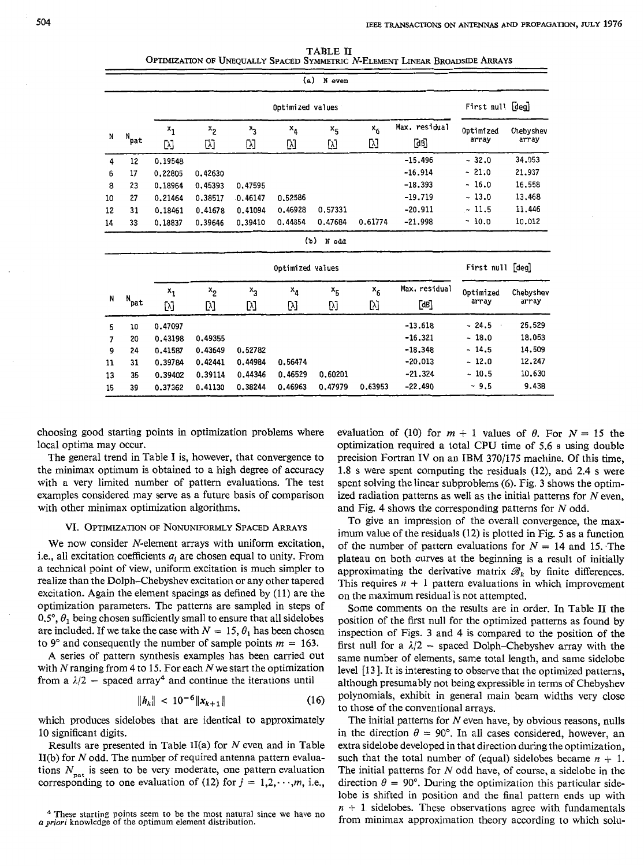| TABLE II                                                                     |
|------------------------------------------------------------------------------|
| OPTIMIZATION OF UNEQUALLY SPACED SYMMETRIC N-ELEMENT LINEAR BROADSIDE ARRAYS |

|                               |                                  |                                                                |                                                     |                                          | (a)                           | N even                            |                  |                                                                            |                                                              |                                                          |
|-------------------------------|----------------------------------|----------------------------------------------------------------|-----------------------------------------------------|------------------------------------------|-------------------------------|-----------------------------------|------------------|----------------------------------------------------------------------------|--------------------------------------------------------------|----------------------------------------------------------|
|                               |                                  | Optimized values                                               |                                                     |                                          |                               |                                   |                  | First null [deg]                                                           |                                                              |                                                          |
| N                             | $N_{\text{pat}}$                 | $x_1$<br>[y]                                                   | $x_{2}$<br>囚                                        | $x_3$<br>Ŋ                               | $x_4$<br>M                    | $x_{5}$<br>[y]                    | $x_6$<br>Ŋ       | Max. residual<br>[dB]                                                      | Optimized<br>array                                           | Chebyshev<br>array                                       |
| 4<br>6<br>8<br>10<br>12<br>14 | 12<br>17<br>23<br>27<br>31<br>33 | 0.19548<br>0.22805<br>0.18964<br>0.21464<br>0.18461<br>0.18837 | 0.42630<br>0.45393<br>0.38517<br>0.41678<br>0.39646 | 0.47595<br>0.46147<br>0.41094<br>0.39410 | 0.52586<br>0.46928<br>0,44854 | 0.57331<br>0.47684<br>$(5)$ N odd | 0.61774          | $-15.496$<br>$-16.914$<br>$-18.393$<br>$-19,719$<br>$-20.911$<br>$-21,998$ | $-32.0$<br>$-21.0$<br>$-16.0$<br>$-13.0$<br>~11.5<br>$-10.0$ | 34,053<br>21.937<br>16,558<br>13,468<br>11,446<br>10.012 |
|                               | Optimized values                 |                                                                |                                                     |                                          |                               |                                   | First null [deg] |                                                                            |                                                              |                                                          |
| N                             | $N_{\text{pat}}$                 | ×<br>[λ]                                                       | $x_2$<br>M                                          | $x_3$<br>W                               | $x_4$<br>[y]                  | $x_{5}$<br>N                      | $x_6$<br>Ŋ       | Max. residual<br>[dB]                                                      | Optimized<br>array                                           | Chebyshev<br>array                                       |
| 5<br>7<br>9<br>11<br>13       | 10<br>20<br>24<br>31<br>35       | 0.47097<br>0.43198<br>0.41587<br>0.39784<br>0.39402            | 0,49355<br>0.43649<br>0.42441<br>0.39114            | 0.52782<br>0.44984<br>0.44346            | 0.56474<br>0.46529            | 0.60201                           |                  | $-13.618$<br>$-16.321$<br>$-18.348$<br>$-20.013$<br>$-21.324$              | $-24.5$<br>$\cdot$<br>$-18.0$<br>~14.5<br>$-12.0$<br>$-10,5$ | 25,529<br>18.053<br>14,509<br>12.247<br>10,630           |
| 15                            | 39                               | 0.37362                                                        | 0.41130                                             | 0.38244                                  | 0.46963                       | 0.47979                           | 0.63953          | $-22.490$                                                                  | ~1.5                                                         | 9,438                                                    |

choosing good starting points in optimization problems where local optima may occur.

The general trend in Table I is, however, that convergence to the minimax optimum is obtained to a high degree of accuracy with a very limited number of pattern evaluations. The test examples considered may serve as a future basis of comparison with other minimax optimization algorithms.

### **VI. OPTIMIZATION OF NONUNIFORMLY SPACED ARRAYS**

We now consider N-element arrays with uniform excitation, i.e., all excitation coefficients  $a_i$  are chosen equal to unity. From a technical point of view, uniform excitation is much simpler to realize than the Dolph-Chebyshev excitation or any other tapered excitation. Again the element spacings as defined by (11) are the optimization parameters. The patterns are sampled in steps of  $0.5^\circ$ ,  $\theta_1$  being chosen sufficiently small to ensure that all sidelobes are included. If we take the case with  $N = 15$ ,  $\theta_1$  has been chosen to  $9^{\circ}$  and consequently the number of sample points  $m = 163$ .

A series of pattern synthesis examples has been carried out with  $N$  ranging from 4 to 15. For each  $N$  we start the optimization from a  $\lambda/2$  – spaced array<sup>4</sup> and continue the iterations until

$$
\|h_k\| < 10^{-6} \|x_{k+1}\| \tag{16}
$$

which produces sidelobes that are identical to approximately 10 significant digits.

Results are presented in Table II(a) for  $N$  even and in Table II(b) for *N* odd. The number of required antenna pattern evaluations  $N_{\text{part}}$  is seen to be very moderate, one pattern evaluation corresponding to one evaluation of (12) for  $j = 1, 2, \dots, m$ , i.e., evaluation of (10) for  $m + 1$  values of  $\theta$ . For  $N = 15$  the optimization required a total CPU time of 5.6 s using double precision Fortran **IV** on an IBM 370/175 machine. Of this time, 1.8 s were spent computing the residuals (12), and 2.4 s were spent solving the linear subproblems *(6).* Fig. 3 shows the optim*ized* radiation patterns as well as the initial patterns for N even, and Fig. **4** shows the corresponding patterns for N odd.

To give an impression of the overall convergence, the maximum value of the residuals (12) is plotted in Fig. 5 as **a** function of the number of pattern evaluations for  $N = 14$  and 15. The plateau on both curves at the beginning is a result of initially approximating the derivative matrix  $\mathscr{B}_k$  by finite differences. This requires  $n + 1$  pattern evaluations in which improvement on the maximum residual 'is not attempted.

Some comments on the results are in order. In Table I1 the position of the first null for the optimized patterns as found by inspection of Figs. 3 and 4 is compared to the position of the first null for a  $\lambda/2$  - spaced Dolph-Chebyshev array with the same number of elements, same total length, and same sidelobe level [13]. It is interesting to observe that the optimized patterns, although presumably not being expressible in terms of Chebyshev polynomials, exhibit in general main beam widths very close to those of the conventional arrays.

The initial patterns for *N* even have, by obvious reasons, nulls in the direction  $\theta = 90^{\circ}$ . In all cases considered, however, an extra sidelobe developed in that direction during the optimization, such that the total number of (equal) sidelobes became  $n + 1$ . The initial patterns for  $N$  odd have, of course, a sidelobe in the direction  $\theta = 90^{\circ}$ . During the optimization this particular sidelobe is shifted in position and the final pattern ends up with  $n + 1$  sidelobes. These observations agree with fundamentals from minimax approximation theory according to which solu-

<sup>&</sup>lt;sup>4</sup> These starting points seem to be the most natural since we have no *a priori* knowledge of the optimum element distribution.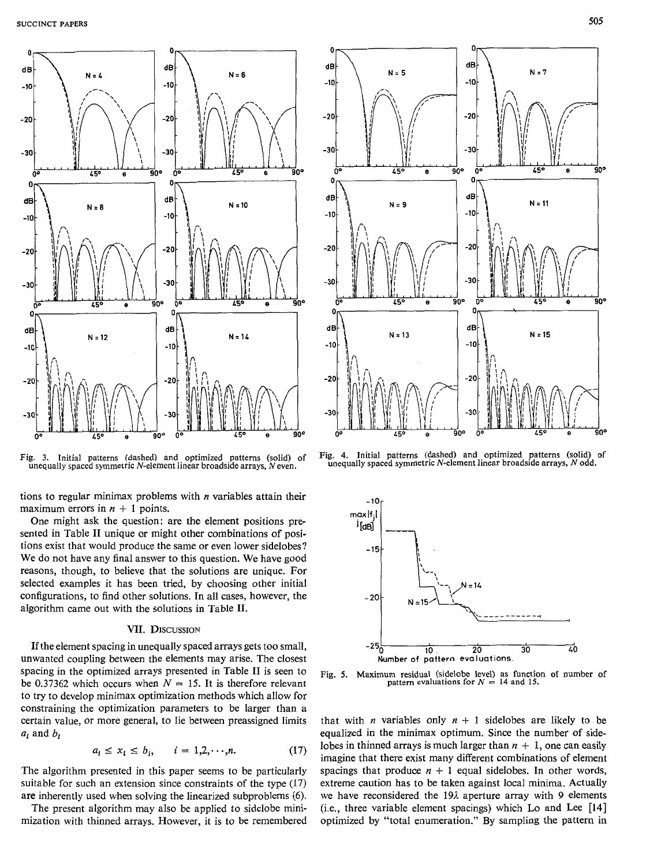

Fig. **3.** Initial patterns (dashed) and optimized patterns (solid) *of*  unequally spaced symmetric N-element linear broadside arrays, *N* even.

tions to regular minimax problems with *n* variables attain their maximum errors in  $n + 1$  points.

One might ask the question: are the element positions presented in Table II unique or might other combinations of positions exist that would produce the same or even lower sidelobes? We do not have any final answer to this question. We have good reasons, though, to believe that the solutions are unique. For selected examples it has been tried, by choosing other initial configurations, to find other solutions. In all cases, however, the algorithm came out with the solutions in Table 11.

### **VII. DIScuSSION**

**If** the element spacing in unequally spaced arrays gets too small, unwanted coupling between the elements may arise. The closest spacing in the optimized arrays presented in Table I1 is seen to be 0.37362 which occurs when  $N = 15$ . It is therefore relevant to try to develop minimax optimization methods which allow for constraining the optimization parameters to be larger than a certain value, or more general, to lie between preassigned limits  $a_i$  and  $b_i$ <br> $a_i \le x_i \le b_i$ ,  $i = 1, 2, \dots, n$ . (17) *ai* and *bi* 

$$
a_i \le x_i \le b_i, \qquad i = 1, 2, \cdots, n. \tag{17}
$$

The algorithm presented in this paper seems to be particularly suitable for such an extension since constraints of the type (17) are inherently used when solving the linearized subproblems (6).

The present algorithm may also be applied to sidelobe minimization with thinned arrays. However, it is to be remembered



Fig. **4.** Initial patterns (dashed) and optimized patterns (solid) **of**  unequally spaced symmetric N-element linear broadside arrays, *N* odd.



Fig. **5.** Maximum residual (sidelobe level) **as** function of number of pattern evaluations for  $N = 14$  and 15.

that with *n* variables only  $n + 1$  sidelobes are likely to be equalized in the minimax optimum. Since the number of sidelobes in thinned arrays is much larger than  $n + 1$ , one can easily imagine that there exist many different combinations of element spacings that produce  $n + 1$  equal sidelobes. In other words, extreme caution has to be taken against local minima. Actually we have reconsidered the 19 $\lambda$  aperture array with 9 elements (Le., three variable element spacings) which Lo and Lee **[I41**  optimized by "total enumeration." **By** sampling the pattern in